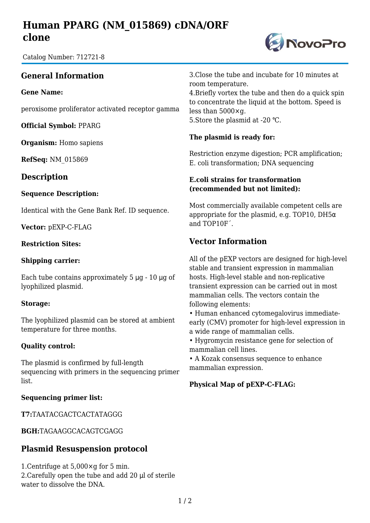# **Human PPARG (NM\_015869) cDNA/ORF clone**

Catalog Number: 712721-8

## **General Information**

**Gene Name:**

peroxisome proliferator activated receptor gamma

**Official Symbol:** PPARG

**Organism:** Homo sapiens

**RefSeq:** NM\_015869

### **Description**

#### **Sequence Description:**

Identical with the Gene Bank Ref. ID sequence.

**Vector:** pEXP-C-FLAG

#### **Restriction Sites:**

#### **Shipping carrier:**

Each tube contains approximately  $5 \mu g - 10 \mu g$  of lyophilized plasmid.

#### **Storage:**

The lyophilized plasmid can be stored at ambient temperature for three months.

#### **Quality control:**

The plasmid is confirmed by full-length sequencing with primers in the sequencing primer list.

#### **Sequencing primer list:**

**T7:**TAATACGACTCACTATAGGG

**BGH:**TAGAAGGCACAGTCGAGG

## **Plasmid Resuspension protocol**

1.Centrifuge at 5,000×g for 5 min. 2.Carefully open the tube and add 20 μl of sterile water to dissolve the DNA.

3.Close the tube and incubate for 10 minutes at room temperature.

4.Briefly vortex the tube and then do a quick spin to concentrate the liquid at the bottom. Speed is less than 5000×g. 5. Store the plasmid at -20 °C.

#### **The plasmid is ready for:**

Restriction enzyme digestion; PCR amplification; E. coli transformation; DNA sequencing

#### **E.coli strains for transformation (recommended but not limited):**

Most commercially available competent cells are appropriate for the plasmid, e.g. TOP10, DH5 $\alpha$ and TOP10F´.

## **Vector Information**

All of the pEXP vectors are designed for high-level stable and transient expression in mammalian hosts. High-level stable and non-replicative transient expression can be carried out in most mammalian cells. The vectors contain the following elements:

• Human enhanced cytomegalovirus immediateearly (CMV) promoter for high-level expression in a wide range of mammalian cells.

• Hygromycin resistance gene for selection of mammalian cell lines.

• A Kozak consensus sequence to enhance mammalian expression.

#### **Physical Map of pEXP-C-FLAG:**